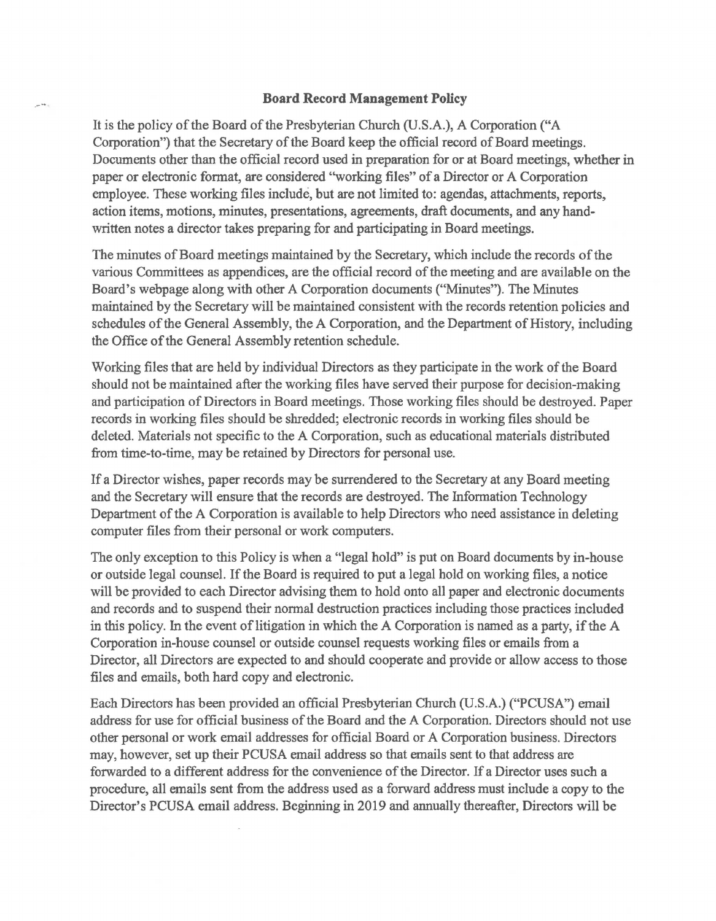## **Board Record Management Policy**

It is the policy of the Board of the Presbyterian Church (U.S.A.), A Corporation ("A Corporation") that the Secretary of the Board keep the official record of Board meetings. Documents other than the official record used in preparation for or at Board meetings, whether in paper or electronic format, are considered "working files" of a Director or A Corporation employee. These working files include, but are not limited to: agendas, attachments, reports, action items, motions, minutes, presentations, agreements, draft documents, and any handwritten notes a director takes preparing for and participating in Board meetings.

The minutes of Board meetings maintained by the Secretary, which include the records of the various Committees as appendices, are the official record of the meeting and are available on the Board's webpage along with other A Corporation documents ("Minutes"). The Minutes maintained by the Secretary will be maintained consistent with the records retention policies and schedules of the General Assembly, the A Corporation, and the Department of History, including the Office of the General Assembly retention schedule.

Working files that are held by individual Directors as they participate in the work of the Board should not be maintained after the working files have served their purpose for decision-making and participation of Directors in Board meetings. Those working files should be destroyed. Paper records in working files should be shredded; electronic records in working files should be deleted. Materials not specific to the A Corporation, such as educational materials distributed from time-to-time, may be retained by Directors for personal use.

If a Director wishes, paper records may be surrendered to the Secretary at any Board meeting and the Secretary will ensure that the records are destroyed. The Information Technology Department of the A Corporation is available to help Directors who need assistance in deleting computer files from their personal or work computers.

The only exception to this Policy is when a "legal hold" is put on Board documents by in-house or outside legal counsel. If the Board is required to put a legal hold on working files, a notice will be provided to each Director advising them to hold onto all paper and electronic documents and records and to suspend their normal destruction practices including those practices included in this policy. In the event of litigation in which the A Corporation is named as a party, if the A Corporation in-house counsel or outside counsel requests working files or emails from a Director, all Directors are expected to and should cooperate and provide or allow access to those files and emails, both hard copy and electronic.

Each Directors has been provided an official Presbyterian Church (U.S.A.) ("PCUSA") email address for use for official business of the Board and the A Corporation. Directors should not use other personal or work email addresses for official Board or A Corporation business. Directors may, however, set up their PCUSA email address so that emails sent to that address are forwarded to a different address for the convenience of the Director. If a Director uses such a procedure, all emails sent from the address used as a forward address must include a copy to the Director's PCUSA email address. Beginning in 2019 and annually thereafter, Directors will be